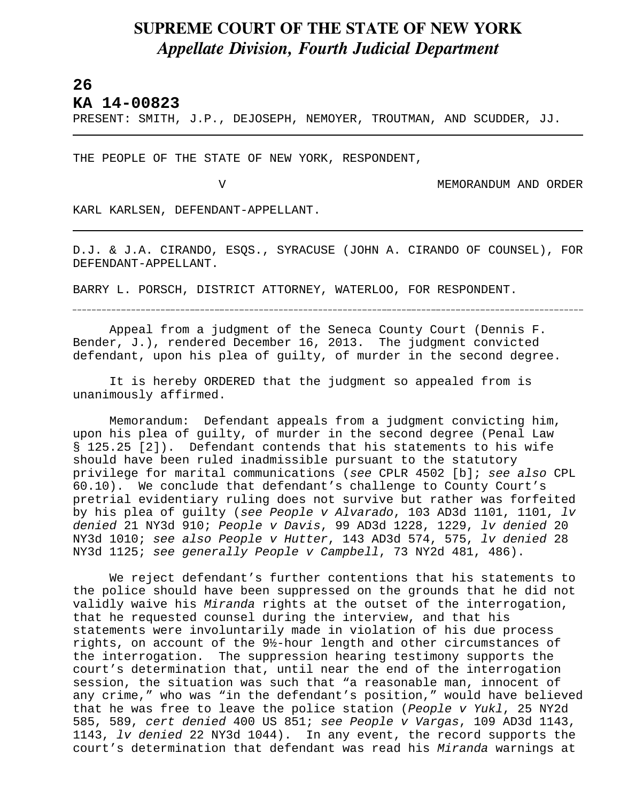## **SUPREME COURT OF THE STATE OF NEW YORK** *Appellate Division, Fourth Judicial Department*

## **26**

L

**KA 14-00823** 

PRESENT: SMITH, J.P., DEJOSEPH, NEMOYER, TROUTMAN, AND SCUDDER, JJ.

THE PEOPLE OF THE STATE OF NEW YORK, RESPONDENT,

V MEMORANDUM AND ORDER

KARL KARLSEN, DEFENDANT-APPELLANT.

D.J. & J.A. CIRANDO, ESQS., SYRACUSE (JOHN A. CIRANDO OF COUNSEL), FOR DEFENDANT-APPELLANT.

BARRY L. PORSCH, DISTRICT ATTORNEY, WATERLOO, FOR RESPONDENT.

Appeal from a judgment of the Seneca County Court (Dennis F. Bender, J.), rendered December 16, 2013. The judgment convicted defendant, upon his plea of guilty, of murder in the second degree.

It is hereby ORDERED that the judgment so appealed from is unanimously affirmed.

Memorandum: Defendant appeals from a judgment convicting him, upon his plea of guilty, of murder in the second degree (Penal Law § 125.25 [2]). Defendant contends that his statements to his wife should have been ruled inadmissible pursuant to the statutory privilege for marital communications (*see* CPLR 4502 [b]; *see also* CPL 60.10). We conclude that defendant's challenge to County Court's pretrial evidentiary ruling does not survive but rather was forfeited by his plea of guilty (*see People v Alvarado*, 103 AD3d 1101, 1101, *lv denied* 21 NY3d 910; *People v Davis*, 99 AD3d 1228, 1229, *lv denied* 20 NY3d 1010; *see also People v Hutter*, 143 AD3d 574, 575, *lv denied* 28 NY3d 1125; *see generally People v Campbell*, 73 NY2d 481, 486).

We reject defendant's further contentions that his statements to the police should have been suppressed on the grounds that he did not validly waive his *Miranda* rights at the outset of the interrogation, that he requested counsel during the interview, and that his statements were involuntarily made in violation of his due process rights, on account of the 9½-hour length and other circumstances of the interrogation. The suppression hearing testimony supports the court's determination that, until near the end of the interrogation session, the situation was such that "a reasonable man, innocent of any crime," who was "in the defendant's position," would have believed that he was free to leave the police station (*People v Yukl*, 25 NY2d 585, 589, *cert denied* 400 US 851; *see People v Vargas*, 109 AD3d 1143, 1143, *lv denied* 22 NY3d 1044). In any event, the record supports the court's determination that defendant was read his *Miranda* warnings at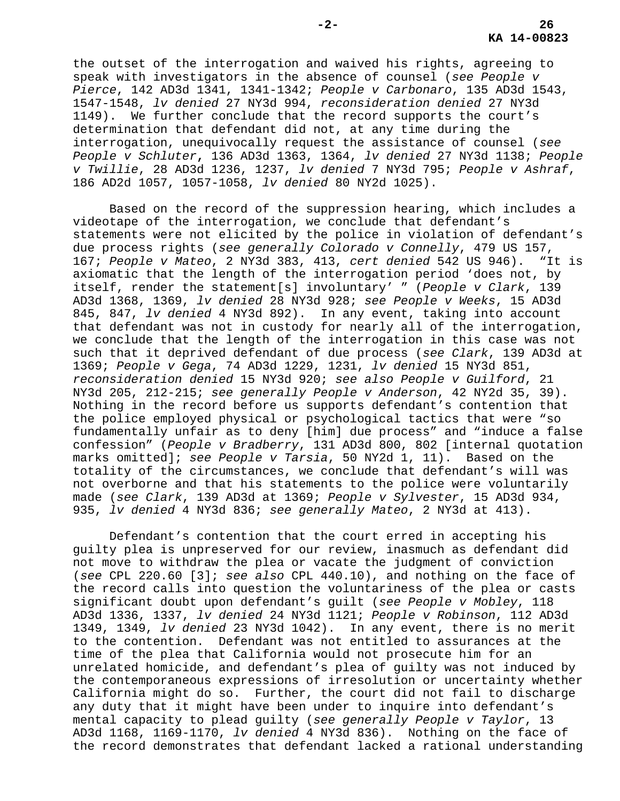the outset of the interrogation and waived his rights, agreeing to speak with investigators in the absence of counsel (*see People v Pierce*, 142 AD3d 1341, 1341-1342; *People v Carbonaro*, 135 AD3d 1543, 1547-1548, *lv denied* 27 NY3d 994, *reconsideration denied* 27 NY3d 1149). We further conclude that the record supports the court's determination that defendant did not, at any time during the interrogation, unequivocally request the assistance of counsel (*see People v Schluter***,** 136 AD3d 1363, 1364, *lv denied* 27 NY3d 1138; *People v Twillie*, 28 AD3d 1236, 1237, *lv denied* 7 NY3d 795; *People v Ashraf*, 186 AD2d 1057, 1057-1058, *lv denied* 80 NY2d 1025).

Based on the record of the suppression hearing, which includes a videotape of the interrogation, we conclude that defendant's statements were not elicited by the police in violation of defendant's due process rights (*see generally Colorado v Connelly*, 479 US 157, 167; *People v Mateo*, 2 NY3d 383, 413, *cert denied* 542 US 946). "It is axiomatic that the length of the interrogation period 'does not, by itself, render the statement[s] involuntary' " (*People v Clark*, 139 AD3d 1368, 1369, *lv denied* 28 NY3d 928; *see People v Weeks*, 15 AD3d 845, 847, *lv denied* 4 NY3d 892). In any event, taking into account that defendant was not in custody for nearly all of the interrogation, we conclude that the length of the interrogation in this case was not such that it deprived defendant of due process (*see Clark*, 139 AD3d at 1369; *People v Gega*, 74 AD3d 1229, 1231, *lv denied* 15 NY3d 851, *reconsideration denied* 15 NY3d 920; *see also People v Guilford*, 21 NY3d 205, 212-215; *see generally People v Anderson*, 42 NY2d 35, 39). Nothing in the record before us supports defendant's contention that the police employed physical or psychological tactics that were "so fundamentally unfair as to deny [him] due process" and "induce a false confession" (*People v Bradberry*, 131 AD3d 800, 802 [internal quotation marks omitted]; *see People v Tarsia*, 50 NY2d 1, 11). Based on the totality of the circumstances, we conclude that defendant's will was not overborne and that his statements to the police were voluntarily made (*see Clark*, 139 AD3d at 1369; *People v Sylvester*, 15 AD3d 934, 935, *lv denied* 4 NY3d 836; *see generally Mateo*, 2 NY3d at 413).

Defendant's contention that the court erred in accepting his guilty plea is unpreserved for our review, inasmuch as defendant did not move to withdraw the plea or vacate the judgment of conviction (*see* CPL 220.60 [3]; *see also* CPL 440.10), and nothing on the face of the record calls into question the voluntariness of the plea or casts significant doubt upon defendant's guilt (*see People v Mobley*, 118 AD3d 1336, 1337, *lv denied* 24 NY3d 1121; *People v Robinson*, 112 AD3d 1349, 1349, *lv denied* 23 NY3d 1042). In any event, there is no merit to the contention. Defendant was not entitled to assurances at the time of the plea that California would not prosecute him for an unrelated homicide, and defendant's plea of guilty was not induced by the contemporaneous expressions of irresolution or uncertainty whether California might do so. Further, the court did not fail to discharge any duty that it might have been under to inquire into defendant's mental capacity to plead guilty (*see generally People v Taylor*, 13 AD3d 1168, 1169-1170, *lv denied* 4 NY3d 836). Nothing on the face of the record demonstrates that defendant lacked a rational understanding